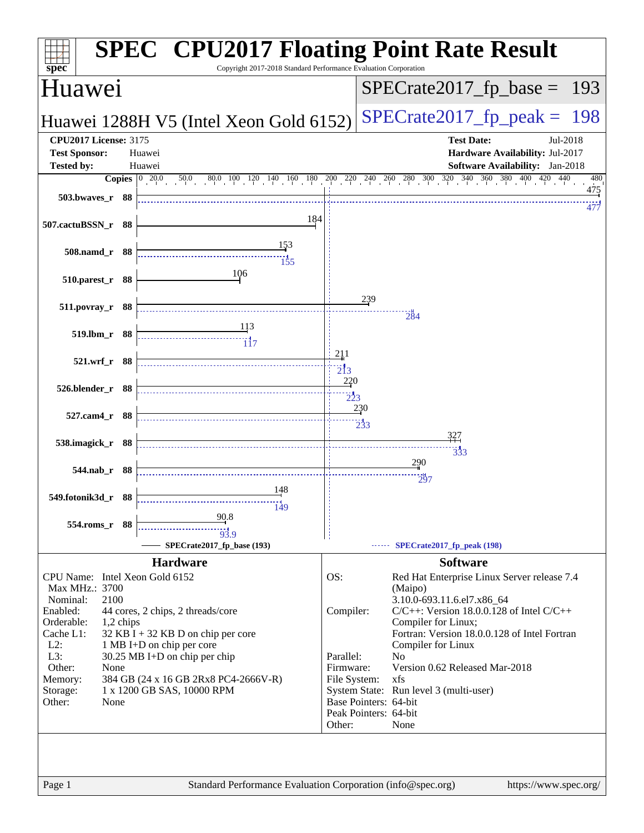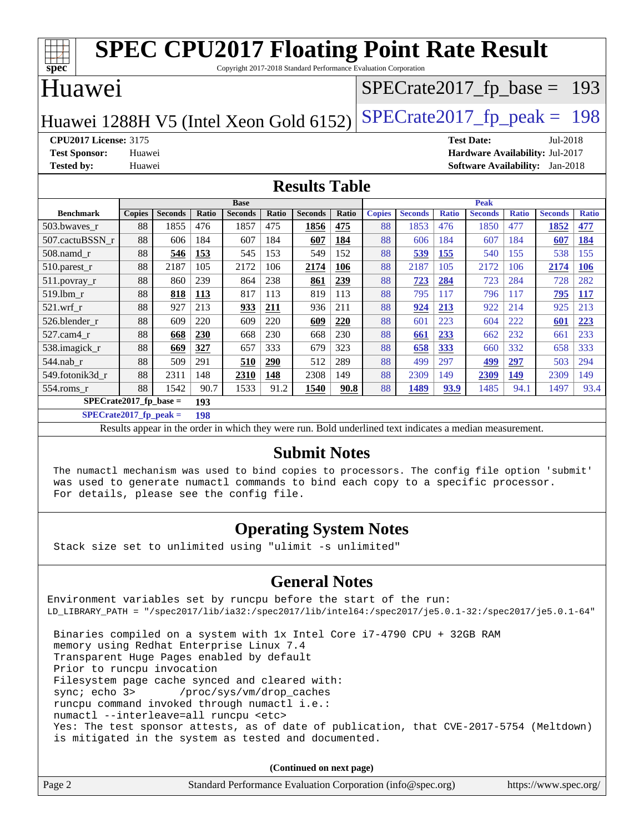| <b>SPEC CPU2017 Floating Point Rate Result</b><br>Copyright 2017-2018 Standard Performance Evaluation Corporation |                     |                |       |                |              |                |              |               |                               |              |                                        |              |                |              |
|-------------------------------------------------------------------------------------------------------------------|---------------------|----------------|-------|----------------|--------------|----------------|--------------|---------------|-------------------------------|--------------|----------------------------------------|--------------|----------------|--------------|
| $\overline{\text{spec}^*}$<br>Huawei                                                                              |                     |                |       |                |              |                |              |               | $SPECTate2017_fp\_base = 193$ |              |                                        |              |                |              |
| Huawei 1288H V5 (Intel Xeon Gold 6152)                                                                            |                     |                |       |                |              |                |              |               | $SPECTate2017$ _fp_peak = 198 |              |                                        |              |                |              |
| <b>CPU2017 License: 3175</b>                                                                                      |                     |                |       |                |              |                |              |               |                               |              | <b>Test Date:</b>                      |              | Jul-2018       |              |
| <b>Test Sponsor:</b>                                                                                              | Huawei              |                |       |                |              |                |              |               |                               |              | Hardware Availability: Jul-2017        |              |                |              |
| <b>Tested by:</b>                                                                                                 | Huawei              |                |       |                |              |                |              |               |                               |              | <b>Software Availability:</b> Jan-2018 |              |                |              |
| <b>Results Table</b>                                                                                              |                     |                |       |                |              |                |              |               |                               |              |                                        |              |                |              |
|                                                                                                                   | <b>Base</b><br>Peak |                |       |                |              |                |              |               |                               |              |                                        |              |                |              |
| <b>Benchmark</b>                                                                                                  | <b>Copies</b>       | <b>Seconds</b> | Ratio | <b>Seconds</b> | <b>Ratio</b> | <b>Seconds</b> | <b>Ratio</b> | <b>Copies</b> | <b>Seconds</b>                | <b>Ratio</b> | <b>Seconds</b>                         | <b>Ratio</b> | <b>Seconds</b> | <b>Ratio</b> |
| 503.bwaves_r                                                                                                      | 88                  | 1855           | 476   | 1857           | 475          | 1856           | 475          | 88            | 1853                          | 476          | 1850                                   | 477          | 1852           | 477          |
| 507.cactuBSSN r                                                                                                   | 88                  | 606            | 184   | 607            | 184          | 607            | 184          | 88            | 606                           | 184          | 607                                    | 184          | 607            | 184          |
| $508$ .namd $r$                                                                                                   | 88                  | 546            | 153   | 545            | 153          | 549            | 152          | 88            | 539                           | 155          | 540                                    | 155          | 538            | 155          |
| 510.parest_r                                                                                                      | 88                  | 2187           | 105   | 2172           | 106          | 2174           | 106          | 88            | 2187                          | 105          | 2172                                   | 106          | 2174           | <b>106</b>   |
| 511.povray_r                                                                                                      | 88                  | 860            | 239   | 864            | 238          | 861            | 239          | 88            | <b>723</b>                    | 284          | 723                                    | 284          | 728            | 282          |
| 519.lbm r                                                                                                         | 88                  | 818            | 113   | 817            | 113          | 819            | 113          | 88            | 795                           | 117          | 796                                    | 117          | 795            | <b>117</b>   |
| $521$ .wrf r                                                                                                      | 88                  | 927            | 213   | 933            | 211          | 936            | 211          | 88            | 924                           | 213          | 922                                    | 214          | 925            | 213          |
| 526.blender r                                                                                                     | 88                  | 609            | 220   | 609            | 220          | 609            | 220          | 88            | 601                           | 223          | 604                                    | 222          | 601            | 223          |
| 527.cam4_r                                                                                                        | 88                  | 668            | 230   | 668            | 230          | 668            | 230          | 88            | 661                           | 233          | 662                                    | 232          | 661            | 233          |
| 538.imagick r                                                                                                     | 88                  | 669            | 327   | 657            | 333          | 679            | 323          | 88            | 658                           | 333          | 660                                    | 332          | 658            | 333          |
| $544$ .nab r                                                                                                      | 88                  | 509            | 291   | 510            | <b>290</b>   | 512            | 289          | 88            | 499                           | 297          | 499                                    | 297          | 503            | 294          |
| 549.fotonik3d r                                                                                                   | 88                  | 2311           | 148   | 2310           | 148          | 2308           | 149          | 88            | 2309                          | 149          | 2309                                   | 149          | 2309           | 149          |
| 554.roms_r                                                                                                        | 88                  | 1542           | 90.7  | 1533           | 91.2         | 1540           | 90.8         | 88            | 1489                          | 93.9         | 1485                                   | 94.1         | 1497           | 93.4         |

**[SPECrate2017\\_fp\\_base =](http://www.spec.org/auto/cpu2017/Docs/result-fields.html#SPECrate2017fpbase) 193**

**[SPECrate2017\\_fp\\_peak =](http://www.spec.org/auto/cpu2017/Docs/result-fields.html#SPECrate2017fppeak) 198**

Results appear in the [order in which they were run.](http://www.spec.org/auto/cpu2017/Docs/result-fields.html#RunOrder) Bold underlined text [indicates a median measurement.](http://www.spec.org/auto/cpu2017/Docs/result-fields.html#Median)

#### **[Submit Notes](http://www.spec.org/auto/cpu2017/Docs/result-fields.html#SubmitNotes)**

 The numactl mechanism was used to bind copies to processors. The config file option 'submit' was used to generate numactl commands to bind each copy to a specific processor. For details, please see the config file.

#### **[Operating System Notes](http://www.spec.org/auto/cpu2017/Docs/result-fields.html#OperatingSystemNotes)**

Stack size set to unlimited using "ulimit -s unlimited"

#### **[General Notes](http://www.spec.org/auto/cpu2017/Docs/result-fields.html#GeneralNotes)**

Environment variables set by runcpu before the start of the run: LD\_LIBRARY\_PATH = "/spec2017/lib/ia32:/spec2017/lib/intel64:/spec2017/je5.0.1-32:/spec2017/je5.0.1-64" Binaries compiled on a system with 1x Intel Core i7-4790 CPU + 32GB RAM memory using Redhat Enterprise Linux 7.4 Transparent Huge Pages enabled by default Prior to runcpu invocation Filesystem page cache synced and cleared with:

sync; echo 3> /proc/sys/vm/drop\_caches

runcpu command invoked through numactl i.e.:

numactl --interleave=all runcpu <etc>

 Yes: The test sponsor attests, as of date of publication, that CVE-2017-5754 (Meltdown) is mitigated in the system as tested and documented.

**(Continued on next page)**

| Page 2<br>Standard Performance Evaluation Corporation (info@spec.org)<br>https://www.spec.org/ |
|------------------------------------------------------------------------------------------------|
|------------------------------------------------------------------------------------------------|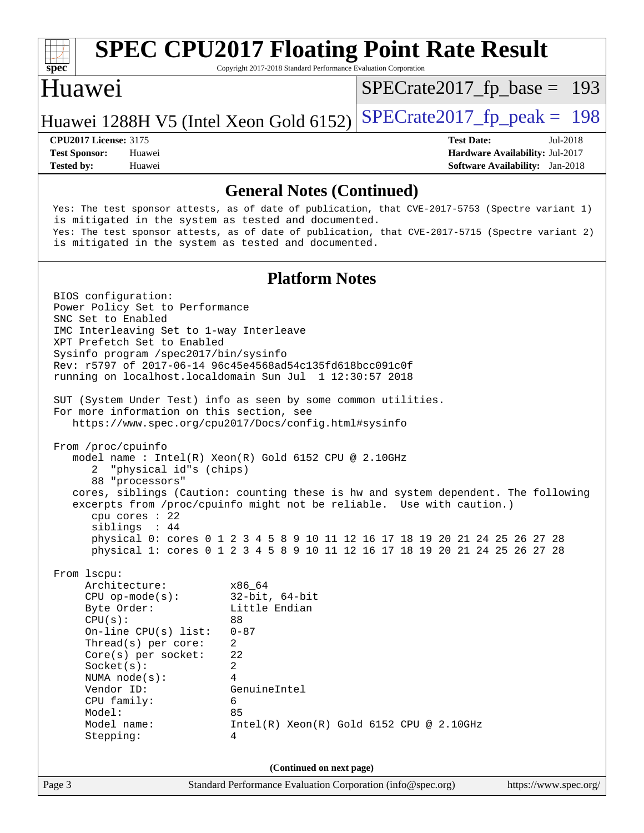

# **[SPEC CPU2017 Floating Point Rate Result](http://www.spec.org/auto/cpu2017/Docs/result-fields.html#SPECCPU2017FloatingPointRateResult)**

Copyright 2017-2018 Standard Performance Evaluation Corporation

### Huawei

[SPECrate2017\\_fp\\_base =](http://www.spec.org/auto/cpu2017/Docs/result-fields.html#SPECrate2017fpbase) 193

### Huawei 1288H V5 (Intel Xeon Gold 6152) SPECrate  $2017$  fp peak = 198

**[Tested by:](http://www.spec.org/auto/cpu2017/Docs/result-fields.html#Testedby)** Huawei **[Software Availability:](http://www.spec.org/auto/cpu2017/Docs/result-fields.html#SoftwareAvailability)** Jan-2018

**[CPU2017 License:](http://www.spec.org/auto/cpu2017/Docs/result-fields.html#CPU2017License)** 3175 **[Test Date:](http://www.spec.org/auto/cpu2017/Docs/result-fields.html#TestDate)** Jul-2018 **[Test Sponsor:](http://www.spec.org/auto/cpu2017/Docs/result-fields.html#TestSponsor)** Huawei **[Hardware Availability:](http://www.spec.org/auto/cpu2017/Docs/result-fields.html#HardwareAvailability)** Jul-2017

#### **[General Notes \(Continued\)](http://www.spec.org/auto/cpu2017/Docs/result-fields.html#GeneralNotes)**

 Yes: The test sponsor attests, as of date of publication, that CVE-2017-5753 (Spectre variant 1) is mitigated in the system as tested and documented. Yes: The test sponsor attests, as of date of publication, that CVE-2017-5715 (Spectre variant 2) is mitigated in the system as tested and documented.

#### **[Platform Notes](http://www.spec.org/auto/cpu2017/Docs/result-fields.html#PlatformNotes)**

 BIOS configuration: Power Policy Set to Performance SNC Set to Enabled IMC Interleaving Set to 1-way Interleave XPT Prefetch Set to Enabled Sysinfo program /spec2017/bin/sysinfo Rev: r5797 of 2017-06-14 96c45e4568ad54c135fd618bcc091c0f running on localhost.localdomain Sun Jul 1 12:30:57 2018 SUT (System Under Test) info as seen by some common utilities. For more information on this section, see <https://www.spec.org/cpu2017/Docs/config.html#sysinfo> From /proc/cpuinfo model name : Intel(R) Xeon(R) Gold 6152 CPU @ 2.10GHz 2 "physical id"s (chips) 88 "processors" cores, siblings (Caution: counting these is hw and system dependent. The following excerpts from /proc/cpuinfo might not be reliable. Use with caution.) cpu cores : 22 siblings : 44 physical 0: cores 0 1 2 3 4 5 8 9 10 11 12 16 17 18 19 20 21 24 25 26 27 28 physical 1: cores 0 1 2 3 4 5 8 9 10 11 12 16 17 18 19 20 21 24 25 26 27 28 From lscpu: Architecture: x86\_64 CPU op-mode(s): 32-bit, 64-bit Byte Order: Little Endian  $CPU(s):$  88 On-line CPU(s) list: 0-87 Thread(s) per core: 2 Core(s) per socket: 22 Socket(s): 2 NUMA node(s): 4 Vendor ID: GenuineIntel CPU family: 6 Model: 85 Model name: Intel(R) Xeon(R) Gold 6152 CPU @ 2.10GHz Stepping: 4 **(Continued on next page)**

Page 3 Standard Performance Evaluation Corporation [\(info@spec.org\)](mailto:info@spec.org) <https://www.spec.org/>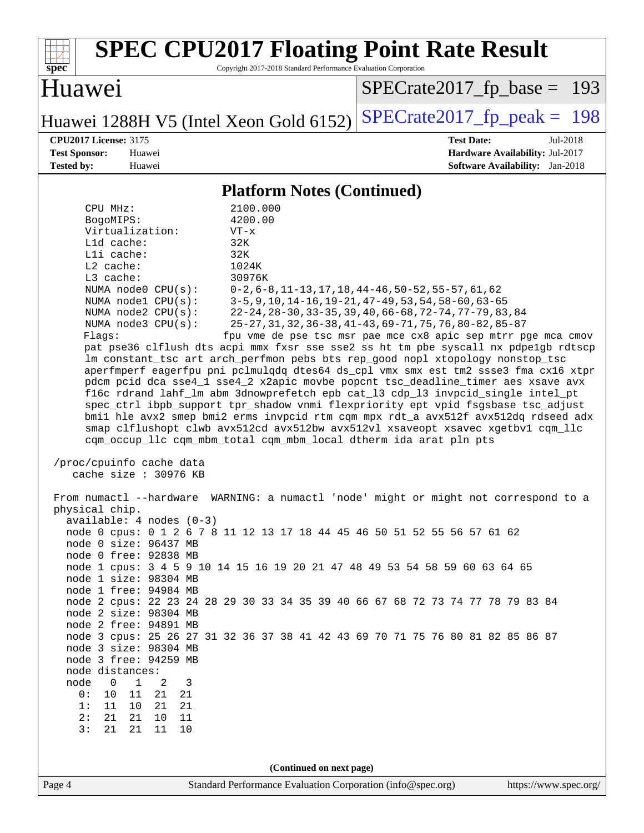| <b>SPEC CPU2017 Floating Point Rate Result</b><br>Copyright 2017-2018 Standard Performance Evaluation Corporation<br>spec                                                                                                                                                                                                                                                                                                                                                                                                                                                                                                                                                                                                                                                                                                                                                                                                                                                                                                                                                                                                                                                                                                                                                                                                                                                                                                                                                                                                                                                                                                                                                                                                                                                                                                                                                                                                                                                                   |                                                                                                                                                                                                                                                                                                            |  |  |  |  |
|---------------------------------------------------------------------------------------------------------------------------------------------------------------------------------------------------------------------------------------------------------------------------------------------------------------------------------------------------------------------------------------------------------------------------------------------------------------------------------------------------------------------------------------------------------------------------------------------------------------------------------------------------------------------------------------------------------------------------------------------------------------------------------------------------------------------------------------------------------------------------------------------------------------------------------------------------------------------------------------------------------------------------------------------------------------------------------------------------------------------------------------------------------------------------------------------------------------------------------------------------------------------------------------------------------------------------------------------------------------------------------------------------------------------------------------------------------------------------------------------------------------------------------------------------------------------------------------------------------------------------------------------------------------------------------------------------------------------------------------------------------------------------------------------------------------------------------------------------------------------------------------------------------------------------------------------------------------------------------------------|------------------------------------------------------------------------------------------------------------------------------------------------------------------------------------------------------------------------------------------------------------------------------------------------------------|--|--|--|--|
| Huawei                                                                                                                                                                                                                                                                                                                                                                                                                                                                                                                                                                                                                                                                                                                                                                                                                                                                                                                                                                                                                                                                                                                                                                                                                                                                                                                                                                                                                                                                                                                                                                                                                                                                                                                                                                                                                                                                                                                                                                                      | $SPECrate2017_fp\_base = 193$                                                                                                                                                                                                                                                                              |  |  |  |  |
| Huawei 1288H V5 (Intel Xeon Gold 6152)                                                                                                                                                                                                                                                                                                                                                                                                                                                                                                                                                                                                                                                                                                                                                                                                                                                                                                                                                                                                                                                                                                                                                                                                                                                                                                                                                                                                                                                                                                                                                                                                                                                                                                                                                                                                                                                                                                                                                      | $SPECrate2017fp peak = 198$                                                                                                                                                                                                                                                                                |  |  |  |  |
| <b>CPU2017 License: 3175</b><br><b>Test Sponsor:</b><br>Huawei<br><b>Tested by:</b><br>Huawei                                                                                                                                                                                                                                                                                                                                                                                                                                                                                                                                                                                                                                                                                                                                                                                                                                                                                                                                                                                                                                                                                                                                                                                                                                                                                                                                                                                                                                                                                                                                                                                                                                                                                                                                                                                                                                                                                               | <b>Test Date:</b><br>Jul-2018<br>Hardware Availability: Jul-2017<br><b>Software Availability:</b> Jan-2018                                                                                                                                                                                                 |  |  |  |  |
| <b>Platform Notes (Continued)</b>                                                                                                                                                                                                                                                                                                                                                                                                                                                                                                                                                                                                                                                                                                                                                                                                                                                                                                                                                                                                                                                                                                                                                                                                                                                                                                                                                                                                                                                                                                                                                                                                                                                                                                                                                                                                                                                                                                                                                           |                                                                                                                                                                                                                                                                                                            |  |  |  |  |
| 2100.000<br>CPU MHz:<br>4200.00<br>BogoMIPS:<br>Virtualization:<br>$VT - x$<br>L1d cache:<br>32K<br>Lli cache:<br>32K<br>$L2$ cache:<br>1024K<br>L3 cache:<br>30976K<br>NUMA node0 CPU(s):<br>NUMA nodel CPU(s):<br>NUMA node2 CPU(s):<br>NUMA node3 CPU(s):<br>Flags:<br>pat pse36 clflush dts acpi mmx fxsr sse sse2 ss ht tm pbe syscall nx pdpelgb rdtscp<br>lm constant_tsc art arch_perfmon pebs bts rep_good nopl xtopology nonstop_tsc<br>aperfmperf eagerfpu pni pclmulqdq dtes64 ds_cpl vmx smx est tm2 ssse3 fma cx16 xtpr<br>pdcm pcid dca sse4_1 sse4_2 x2apic movbe popcnt tsc_deadline_timer aes xsave avx<br>f16c rdrand lahf_lm abm 3dnowprefetch epb cat_13 cdp_13 invpcid_single intel_pt<br>spec_ctrl ibpb_support tpr_shadow vnmi flexpriority ept vpid fsgsbase tsc_adjust<br>bmil hle avx2 smep bmi2 erms invpcid rtm cqm mpx rdt_a avx512f avx512dq rdseed adx<br>smap clflushopt clwb avx512cd avx512bw avx512vl xsaveopt xsavec xgetbvl cqm_llc<br>cqm_occup_llc cqm_mbm_total cqm_mbm_local dtherm ida arat pln pts<br>/proc/cpuinfo cache data<br>cache size : 30976 KB<br>From numactl --hardware WARNING: a numactl 'node' might or might not correspond to a<br>physical chip.<br>$available: 4 nodes (0-3)$<br>node 0 cpus: 0 1 2 6 7 8 11 12 13 17 18 44 45 46 50 51 52 55 56 57 61 62<br>node 0 size: 96437 MB<br>node 0 free: 92838 MB<br>node 1 cpus: 3 4 5 9 10 14 15 16 19 20 21 47 48 49 53 54 58 59 60 63 64 65<br>node 1 size: 98304 MB<br>node 1 free: 94984 MB<br>node 2 cpus: 22 23 24 28 29 30 33 34 35 39 40 66 67 68 72 73 74 77 78 79 83 84<br>node 2 size: 98304 MB<br>node 2 free: 94891 MB<br>node 3 cpus: 25 26 27 31 32 36 37 38 41 42 43 69 70 71 75 76 80 81 82 85 86 87<br>node 3 size: 98304 MB<br>node 3 free: 94259 MB<br>node distances:<br>node<br>$\overline{\phantom{0}}$<br>$\mathbf{1}$<br>2<br>3<br>0 :<br>10<br>11<br>21<br>21<br>10<br>21<br>1:<br>11<br>21<br>2:<br>21<br>21<br>11<br>10<br>3:<br>21<br>21<br>11<br>10 | $0-2, 6-8, 11-13, 17, 18, 44-46, 50-52, 55-57, 61, 62$<br>$3-5, 9, 10, 14-16, 19-21, 47-49, 53, 54, 58-60, 63-65$<br>22-24, 28-30, 33-35, 39, 40, 66-68, 72-74, 77-79, 83, 84<br>25-27, 31, 32, 36-38, 41-43, 69-71, 75, 76, 80-82, 85-87<br>fpu vme de pse tsc msr pae mce cx8 apic sep mtrr pge mca cmov |  |  |  |  |
| (Continued on next page)                                                                                                                                                                                                                                                                                                                                                                                                                                                                                                                                                                                                                                                                                                                                                                                                                                                                                                                                                                                                                                                                                                                                                                                                                                                                                                                                                                                                                                                                                                                                                                                                                                                                                                                                                                                                                                                                                                                                                                    |                                                                                                                                                                                                                                                                                                            |  |  |  |  |
| Standard Performance Evaluation Corporation (info@spec.org)<br>Page 4                                                                                                                                                                                                                                                                                                                                                                                                                                                                                                                                                                                                                                                                                                                                                                                                                                                                                                                                                                                                                                                                                                                                                                                                                                                                                                                                                                                                                                                                                                                                                                                                                                                                                                                                                                                                                                                                                                                       | https://www.spec.org/                                                                                                                                                                                                                                                                                      |  |  |  |  |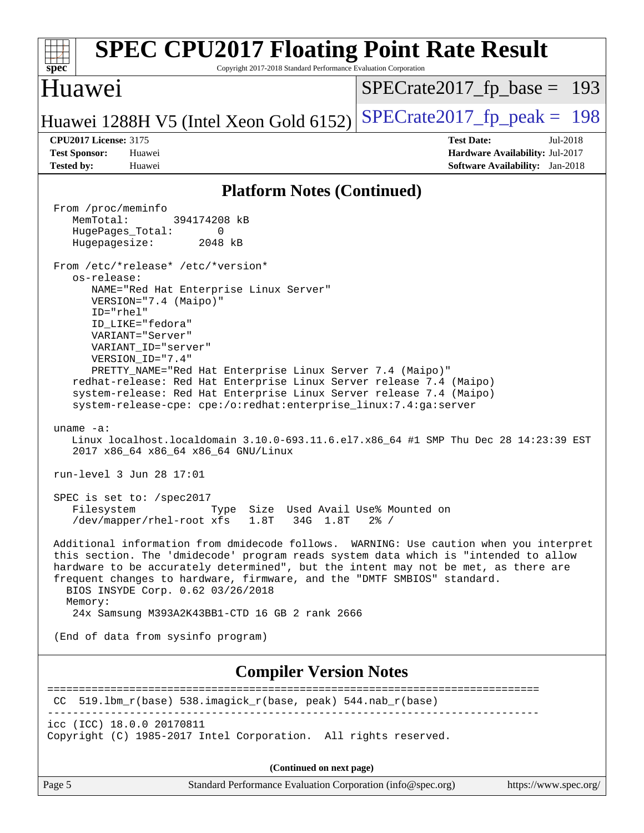| <b>SPEC CPU2017 Floating Point Rate Result</b><br>Copyright 2017-2018 Standard Performance Evaluation Corporation<br>spec <sup>®</sup>                                                                                                                                                                                                                                                                                                                                                                                                                                                                                                                                                                                                                                                                                                                                                                                                                                                                                                                                                                                                                                                                                                                                                                                                                                                                                                                                                                                                                                                                                 |                                                                                                            |
|------------------------------------------------------------------------------------------------------------------------------------------------------------------------------------------------------------------------------------------------------------------------------------------------------------------------------------------------------------------------------------------------------------------------------------------------------------------------------------------------------------------------------------------------------------------------------------------------------------------------------------------------------------------------------------------------------------------------------------------------------------------------------------------------------------------------------------------------------------------------------------------------------------------------------------------------------------------------------------------------------------------------------------------------------------------------------------------------------------------------------------------------------------------------------------------------------------------------------------------------------------------------------------------------------------------------------------------------------------------------------------------------------------------------------------------------------------------------------------------------------------------------------------------------------------------------------------------------------------------------|------------------------------------------------------------------------------------------------------------|
| Huawei                                                                                                                                                                                                                                                                                                                                                                                                                                                                                                                                                                                                                                                                                                                                                                                                                                                                                                                                                                                                                                                                                                                                                                                                                                                                                                                                                                                                                                                                                                                                                                                                                 | $SPECrate2017_fp\_base = 193$                                                                              |
| Huawei 1288H V5 (Intel Xeon Gold 6152)                                                                                                                                                                                                                                                                                                                                                                                                                                                                                                                                                                                                                                                                                                                                                                                                                                                                                                                                                                                                                                                                                                                                                                                                                                                                                                                                                                                                                                                                                                                                                                                 | $SPECrate2017fp peak = 198$                                                                                |
| <b>CPU2017 License: 3175</b><br><b>Test Sponsor:</b><br>Huawei<br><b>Tested by:</b><br>Huawei                                                                                                                                                                                                                                                                                                                                                                                                                                                                                                                                                                                                                                                                                                                                                                                                                                                                                                                                                                                                                                                                                                                                                                                                                                                                                                                                                                                                                                                                                                                          | <b>Test Date:</b><br>Jul-2018<br>Hardware Availability: Jul-2017<br><b>Software Availability:</b> Jan-2018 |
| <b>Platform Notes (Continued)</b>                                                                                                                                                                                                                                                                                                                                                                                                                                                                                                                                                                                                                                                                                                                                                                                                                                                                                                                                                                                                                                                                                                                                                                                                                                                                                                                                                                                                                                                                                                                                                                                      |                                                                                                            |
| From /proc/meminfo<br>MemTotal:<br>394174208 kB<br>HugePages_Total:<br>0<br>Hugepagesize:<br>2048 kB<br>From /etc/*release* /etc/*version*<br>os-release:<br>NAME="Red Hat Enterprise Linux Server"<br>VERSION="7.4 (Maipo)"<br>ID="rhel"<br>ID_LIKE="fedora"<br>VARIANT="Server"<br>VARIANT ID="server"<br>VERSION_ID="7.4"<br>PRETTY_NAME="Red Hat Enterprise Linux Server 7.4 (Maipo)"<br>redhat-release: Red Hat Enterprise Linux Server release 7.4 (Maipo)<br>system-release: Red Hat Enterprise Linux Server release 7.4 (Maipo)<br>system-release-cpe: cpe:/o:redhat:enterprise_linux:7.4:ga:server<br>uname $-a$ :<br>Linux localhost.localdomain 3.10.0-693.11.6.el7.x86_64 #1 SMP Thu Dec 28 14:23:39 EST<br>2017 x86_64 x86_64 x86_64 GNU/Linux<br>run-level 3 Jun 28 17:01<br>SPEC is set to: /spec2017<br>Type Size Used Avail Use% Mounted on<br>Filesystem<br>34G 1.8T<br>/dev/mapper/rhel-root xfs<br>1.8T<br>Additional information from dmidecode follows. WARNING: Use caution when you interpret<br>this section. The 'dmidecode' program reads system data which is "intended to allow<br>hardware to be accurately determined", but the intent may not be met, as there are<br>frequent changes to hardware, firmware, and the "DMTF SMBIOS" standard.<br>BIOS INSYDE Corp. 0.62 03/26/2018<br>Memory:<br>24x Samsung M393A2K43BB1-CTD 16 GB 2 rank 2666<br>(End of data from sysinfo program)<br><b>Compiler Version Notes</b><br>CC 519.1bm_r(base) 538.imagick_r(base, peak) 544.nab_r(base)<br>icc (ICC) 18.0.0 20170811<br>Copyright (C) 1985-2017 Intel Corporation. All rights reserved. | $2\frac{8}{1}$ /<br>------------------------                                                               |
|                                                                                                                                                                                                                                                                                                                                                                                                                                                                                                                                                                                                                                                                                                                                                                                                                                                                                                                                                                                                                                                                                                                                                                                                                                                                                                                                                                                                                                                                                                                                                                                                                        |                                                                                                            |
| (Continued on next page)<br>Page 5<br>Standard Performance Evaluation Corporation (info@spec.org)                                                                                                                                                                                                                                                                                                                                                                                                                                                                                                                                                                                                                                                                                                                                                                                                                                                                                                                                                                                                                                                                                                                                                                                                                                                                                                                                                                                                                                                                                                                      | https://www.spec.org/                                                                                      |
|                                                                                                                                                                                                                                                                                                                                                                                                                                                                                                                                                                                                                                                                                                                                                                                                                                                                                                                                                                                                                                                                                                                                                                                                                                                                                                                                                                                                                                                                                                                                                                                                                        |                                                                                                            |

| яσе<br>. . |  |
|------------|--|
|            |  |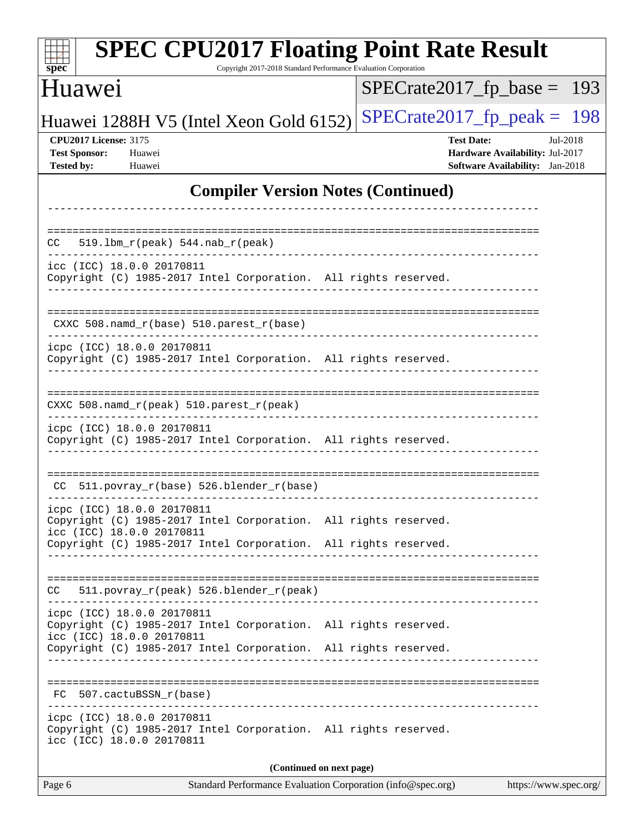| <b>SPEC CPU2017 Floating Point Rate Result</b><br>spec <sup>®</sup><br>Copyright 2017-2018 Standard Performance Evaluation Corporation                                                        |                                                                                                            |  |  |  |  |  |
|-----------------------------------------------------------------------------------------------------------------------------------------------------------------------------------------------|------------------------------------------------------------------------------------------------------------|--|--|--|--|--|
| Huawei                                                                                                                                                                                        | $SPECrate2017_fp\_base =$<br>193                                                                           |  |  |  |  |  |
| Huawei 1288H V5 (Intel Xeon Gold 6152)                                                                                                                                                        | $SPECTate2017$ _fp_peak = 198                                                                              |  |  |  |  |  |
| <b>CPU2017 License: 3175</b><br><b>Test Sponsor:</b><br>Huawei<br><b>Tested by:</b><br>Huawei                                                                                                 | <b>Test Date:</b><br>Jul-2018<br>Hardware Availability: Jul-2017<br><b>Software Availability:</b> Jan-2018 |  |  |  |  |  |
| <b>Compiler Version Notes (Continued)</b>                                                                                                                                                     |                                                                                                            |  |  |  |  |  |
|                                                                                                                                                                                               |                                                                                                            |  |  |  |  |  |
| $519.1bm_r(peak) 544.nab_r(peak)$<br>CC.                                                                                                                                                      |                                                                                                            |  |  |  |  |  |
| icc (ICC) 18.0.0 20170811<br>Copyright (C) 1985-2017 Intel Corporation. All rights reserved.                                                                                                  |                                                                                                            |  |  |  |  |  |
| CXXC 508.namd_r(base) 510.parest_r(base)                                                                                                                                                      |                                                                                                            |  |  |  |  |  |
| icpc (ICC) 18.0.0 20170811<br>Copyright (C) 1985-2017 Intel Corporation. All rights reserved.                                                                                                 |                                                                                                            |  |  |  |  |  |
| CXXC 508.namd_r(peak) 510.parest_r(peak)                                                                                                                                                      |                                                                                                            |  |  |  |  |  |
| icpc (ICC) 18.0.0 20170811<br>Copyright (C) 1985-2017 Intel Corporation. All rights reserved.                                                                                                 |                                                                                                            |  |  |  |  |  |
| CC 511.povray_r(base) 526.blender_r(base)                                                                                                                                                     |                                                                                                            |  |  |  |  |  |
| icpc (ICC) 18.0.0 20170811<br>Copyright (C) 1985-2017 Intel Corporation. All rights reserved.<br>icc (ICC) 18.0.0 20170811                                                                    |                                                                                                            |  |  |  |  |  |
| Copyright (C) 1985-2017 Intel Corporation. All rights reserved.<br>___________________________                                                                                                |                                                                                                            |  |  |  |  |  |
| 511.povray_r(peak) 526.blender_r(peak)<br>CC                                                                                                                                                  |                                                                                                            |  |  |  |  |  |
| icpc (ICC) 18.0.0 20170811<br>Copyright (C) 1985-2017 Intel Corporation. All rights reserved.<br>icc (ICC) 18.0.0 20170811<br>Copyright (C) 1985-2017 Intel Corporation. All rights reserved. |                                                                                                            |  |  |  |  |  |
| FC 507.cactuBSSN_r(base)                                                                                                                                                                      |                                                                                                            |  |  |  |  |  |
| icpc (ICC) 18.0.0 20170811<br>Copyright (C) 1985-2017 Intel Corporation. All rights reserved.<br>icc (ICC) 18.0.0 20170811                                                                    |                                                                                                            |  |  |  |  |  |
| (Continued on next page)                                                                                                                                                                      |                                                                                                            |  |  |  |  |  |
| Standard Performance Evaluation Corporation (info@spec.org)<br>Page 6                                                                                                                         | https://www.spec.org/                                                                                      |  |  |  |  |  |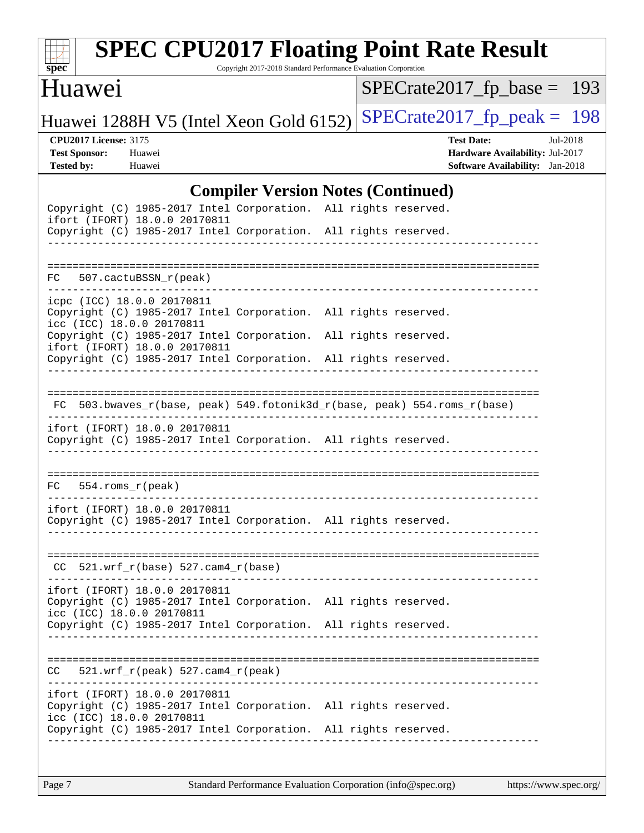

# **[SPEC CPU2017 Floating Point Rate Result](http://www.spec.org/auto/cpu2017/Docs/result-fields.html#SPECCPU2017FloatingPointRateResult)**

Copyright 2017-2018 Standard Performance Evaluation Corporation

#### Huawei

[SPECrate2017\\_fp\\_base =](http://www.spec.org/auto/cpu2017/Docs/result-fields.html#SPECrate2017fpbase) 193

Huawei 1288H V5 (Intel Xeon Gold 6152) SPECrate  $2017$  fp peak = 198

**[CPU2017 License:](http://www.spec.org/auto/cpu2017/Docs/result-fields.html#CPU2017License)** 3175 **[Test Date:](http://www.spec.org/auto/cpu2017/Docs/result-fields.html#TestDate)** Jul-2018 **[Test Sponsor:](http://www.spec.org/auto/cpu2017/Docs/result-fields.html#TestSponsor)** Huawei **[Hardware Availability:](http://www.spec.org/auto/cpu2017/Docs/result-fields.html#HardwareAvailability)** Jul-2017 **[Tested by:](http://www.spec.org/auto/cpu2017/Docs/result-fields.html#Testedby)** Huawei **[Software Availability:](http://www.spec.org/auto/cpu2017/Docs/result-fields.html#SoftwareAvailability)** Jan-2018

#### **[Compiler Version Notes \(Continued\)](http://www.spec.org/auto/cpu2017/Docs/result-fields.html#CompilerVersionNotes)**

| Copyright (C) 1985-2017 Intel Corporation. All rights reserved.<br>ifort (IFORT) 18.0.0 20170811<br>Copyright (C) 1985-2017 Intel Corporation. All rights reserved. | _________________________ |                                                                          |  |
|---------------------------------------------------------------------------------------------------------------------------------------------------------------------|---------------------------|--------------------------------------------------------------------------|--|
| FC 507.cactuBSSN_r(peak)                                                                                                                                            |                           |                                                                          |  |
| icpc (ICC) 18.0.0 20170811<br>Copyright (C) 1985-2017 Intel Corporation. All rights reserved.<br>icc (ICC) 18.0.0 20170811                                          |                           |                                                                          |  |
| Copyright (C) 1985-2017 Intel Corporation. All rights reserved.<br>ifort (IFORT) 18.0.0 20170811<br>Copyright (C) 1985-2017 Intel Corporation. All rights reserved. |                           |                                                                          |  |
|                                                                                                                                                                     |                           | FC 503.bwaves_r(base, peak) 549.fotonik3d_r(base, peak) 554.roms_r(base) |  |
| ifort (IFORT) 18.0.0 20170811<br>Copyright (C) 1985-2017 Intel Corporation. All rights reserved.                                                                    |                           |                                                                          |  |
| $FC 554.rows_r (peak)$                                                                                                                                              |                           |                                                                          |  |
| ifort (IFORT) 18.0.0 20170811<br>Copyright (C) 1985-2017 Intel Corporation. All rights reserved.                                                                    |                           |                                                                          |  |
| $CC$ 521.wrf_r(base) 527.cam4_r(base)                                                                                                                               |                           |                                                                          |  |
| ifort (IFORT) 18.0.0 20170811<br>Copyright (C) 1985-2017 Intel Corporation. All rights reserved.<br>icc (ICC) 18.0.0 20170811                                       |                           |                                                                          |  |
| Copyright (C) 1985-2017 Intel Corporation. All rights reserved.                                                                                                     |                           |                                                                          |  |
| CC<br>$521.wrf_r(peak) 527.cam4_r(peak)$                                                                                                                            |                           |                                                                          |  |
| ifort (IFORT) 18.0.0 20170811<br>Copyright (C) 1985-2017 Intel Corporation. All rights reserved.<br>icc (ICC) 18.0.0 20170811                                       |                           |                                                                          |  |
| Copyright (C) 1985-2017 Intel Corporation. All rights reserved.                                                                                                     |                           |                                                                          |  |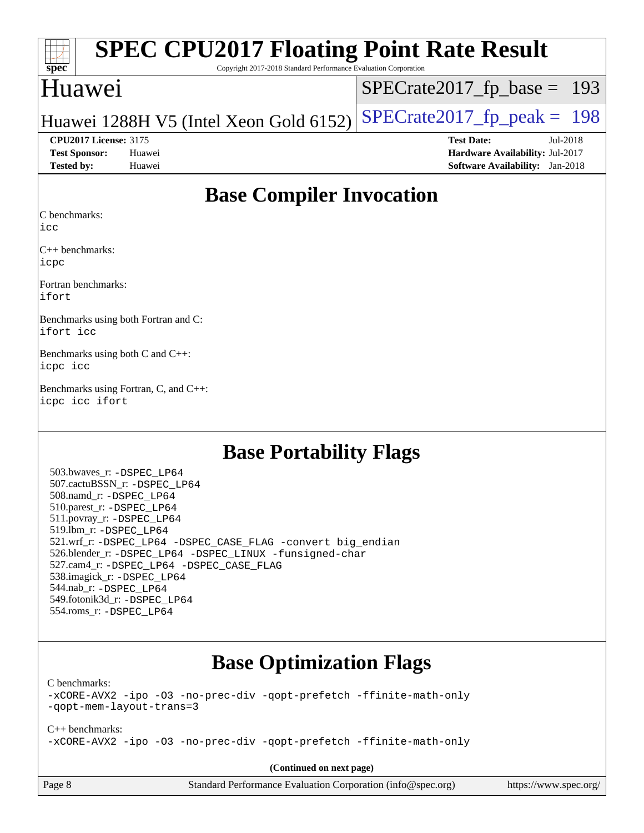| $Spec^*$                       | Copyright 2017-2018 Standard Performance Evaluation Corporation | <b>SPEC CPU2017 Floating Point Rate Result</b>                       |            |
|--------------------------------|-----------------------------------------------------------------|----------------------------------------------------------------------|------------|
| Huawei                         |                                                                 | $SPECrate2017_fp\_base = 193$                                        |            |
|                                |                                                                 | Huawei 1288H V5 (Intel Xeon Gold 6152) SPECrate2017_fp_peak = $1981$ |            |
| <b>CPU2017 License: 3175</b>   |                                                                 | <b>Test Date:</b>                                                    | $Jul-2018$ |
| <b>Test Sponsor:</b><br>Huawei |                                                                 | Hardware Availability: Jul-2017                                      |            |
| <b>Tested by:</b><br>Huawei    |                                                                 | <b>Software Availability:</b> Jan-2018                               |            |

## **[Base Compiler Invocation](http://www.spec.org/auto/cpu2017/Docs/result-fields.html#BaseCompilerInvocation)**

[C benchmarks](http://www.spec.org/auto/cpu2017/Docs/result-fields.html#Cbenchmarks):

[icc](http://www.spec.org/cpu2017/results/res2018q3/cpu2017-20180705-07548.flags.html#user_CCbase_intel_icc_18.0_66fc1ee009f7361af1fbd72ca7dcefbb700085f36577c54f309893dd4ec40d12360134090235512931783d35fd58c0460139e722d5067c5574d8eaf2b3e37e92)

[C++ benchmarks](http://www.spec.org/auto/cpu2017/Docs/result-fields.html#CXXbenchmarks): [icpc](http://www.spec.org/cpu2017/results/res2018q3/cpu2017-20180705-07548.flags.html#user_CXXbase_intel_icpc_18.0_c510b6838c7f56d33e37e94d029a35b4a7bccf4766a728ee175e80a419847e808290a9b78be685c44ab727ea267ec2f070ec5dc83b407c0218cded6866a35d07)

[Fortran benchmarks:](http://www.spec.org/auto/cpu2017/Docs/result-fields.html#Fortranbenchmarks) [ifort](http://www.spec.org/cpu2017/results/res2018q3/cpu2017-20180705-07548.flags.html#user_FCbase_intel_ifort_18.0_8111460550e3ca792625aed983ce982f94888b8b503583aa7ba2b8303487b4d8a21a13e7191a45c5fd58ff318f48f9492884d4413fa793fd88dd292cad7027ca)

[Benchmarks using both Fortran and C](http://www.spec.org/auto/cpu2017/Docs/result-fields.html#BenchmarksusingbothFortranandC): [ifort](http://www.spec.org/cpu2017/results/res2018q3/cpu2017-20180705-07548.flags.html#user_CC_FCbase_intel_ifort_18.0_8111460550e3ca792625aed983ce982f94888b8b503583aa7ba2b8303487b4d8a21a13e7191a45c5fd58ff318f48f9492884d4413fa793fd88dd292cad7027ca) [icc](http://www.spec.org/cpu2017/results/res2018q3/cpu2017-20180705-07548.flags.html#user_CC_FCbase_intel_icc_18.0_66fc1ee009f7361af1fbd72ca7dcefbb700085f36577c54f309893dd4ec40d12360134090235512931783d35fd58c0460139e722d5067c5574d8eaf2b3e37e92)

[Benchmarks using both C and C++:](http://www.spec.org/auto/cpu2017/Docs/result-fields.html#BenchmarksusingbothCandCXX) [icpc](http://www.spec.org/cpu2017/results/res2018q3/cpu2017-20180705-07548.flags.html#user_CC_CXXbase_intel_icpc_18.0_c510b6838c7f56d33e37e94d029a35b4a7bccf4766a728ee175e80a419847e808290a9b78be685c44ab727ea267ec2f070ec5dc83b407c0218cded6866a35d07) [icc](http://www.spec.org/cpu2017/results/res2018q3/cpu2017-20180705-07548.flags.html#user_CC_CXXbase_intel_icc_18.0_66fc1ee009f7361af1fbd72ca7dcefbb700085f36577c54f309893dd4ec40d12360134090235512931783d35fd58c0460139e722d5067c5574d8eaf2b3e37e92)

[Benchmarks using Fortran, C, and C++](http://www.spec.org/auto/cpu2017/Docs/result-fields.html#BenchmarksusingFortranCandCXX): [icpc](http://www.spec.org/cpu2017/results/res2018q3/cpu2017-20180705-07548.flags.html#user_CC_CXX_FCbase_intel_icpc_18.0_c510b6838c7f56d33e37e94d029a35b4a7bccf4766a728ee175e80a419847e808290a9b78be685c44ab727ea267ec2f070ec5dc83b407c0218cded6866a35d07) [icc](http://www.spec.org/cpu2017/results/res2018q3/cpu2017-20180705-07548.flags.html#user_CC_CXX_FCbase_intel_icc_18.0_66fc1ee009f7361af1fbd72ca7dcefbb700085f36577c54f309893dd4ec40d12360134090235512931783d35fd58c0460139e722d5067c5574d8eaf2b3e37e92) [ifort](http://www.spec.org/cpu2017/results/res2018q3/cpu2017-20180705-07548.flags.html#user_CC_CXX_FCbase_intel_ifort_18.0_8111460550e3ca792625aed983ce982f94888b8b503583aa7ba2b8303487b4d8a21a13e7191a45c5fd58ff318f48f9492884d4413fa793fd88dd292cad7027ca)

## **[Base Portability Flags](http://www.spec.org/auto/cpu2017/Docs/result-fields.html#BasePortabilityFlags)**

 503.bwaves\_r: [-DSPEC\\_LP64](http://www.spec.org/cpu2017/results/res2018q3/cpu2017-20180705-07548.flags.html#suite_basePORTABILITY503_bwaves_r_DSPEC_LP64) 507.cactuBSSN\_r: [-DSPEC\\_LP64](http://www.spec.org/cpu2017/results/res2018q3/cpu2017-20180705-07548.flags.html#suite_basePORTABILITY507_cactuBSSN_r_DSPEC_LP64) 508.namd\_r: [-DSPEC\\_LP64](http://www.spec.org/cpu2017/results/res2018q3/cpu2017-20180705-07548.flags.html#suite_basePORTABILITY508_namd_r_DSPEC_LP64) 510.parest\_r: [-DSPEC\\_LP64](http://www.spec.org/cpu2017/results/res2018q3/cpu2017-20180705-07548.flags.html#suite_basePORTABILITY510_parest_r_DSPEC_LP64) 511.povray\_r: [-DSPEC\\_LP64](http://www.spec.org/cpu2017/results/res2018q3/cpu2017-20180705-07548.flags.html#suite_basePORTABILITY511_povray_r_DSPEC_LP64) 519.lbm\_r: [-DSPEC\\_LP64](http://www.spec.org/cpu2017/results/res2018q3/cpu2017-20180705-07548.flags.html#suite_basePORTABILITY519_lbm_r_DSPEC_LP64) 521.wrf\_r: [-DSPEC\\_LP64](http://www.spec.org/cpu2017/results/res2018q3/cpu2017-20180705-07548.flags.html#suite_basePORTABILITY521_wrf_r_DSPEC_LP64) [-DSPEC\\_CASE\\_FLAG](http://www.spec.org/cpu2017/results/res2018q3/cpu2017-20180705-07548.flags.html#b521.wrf_r_baseCPORTABILITY_DSPEC_CASE_FLAG) [-convert big\\_endian](http://www.spec.org/cpu2017/results/res2018q3/cpu2017-20180705-07548.flags.html#user_baseFPORTABILITY521_wrf_r_convert_big_endian_c3194028bc08c63ac5d04de18c48ce6d347e4e562e8892b8bdbdc0214820426deb8554edfa529a3fb25a586e65a3d812c835984020483e7e73212c4d31a38223) 526.blender\_r: [-DSPEC\\_LP64](http://www.spec.org/cpu2017/results/res2018q3/cpu2017-20180705-07548.flags.html#suite_basePORTABILITY526_blender_r_DSPEC_LP64) [-DSPEC\\_LINUX](http://www.spec.org/cpu2017/results/res2018q3/cpu2017-20180705-07548.flags.html#b526.blender_r_baseCPORTABILITY_DSPEC_LINUX) [-funsigned-char](http://www.spec.org/cpu2017/results/res2018q3/cpu2017-20180705-07548.flags.html#user_baseCPORTABILITY526_blender_r_force_uchar_40c60f00ab013830e2dd6774aeded3ff59883ba5a1fc5fc14077f794d777847726e2a5858cbc7672e36e1b067e7e5c1d9a74f7176df07886a243d7cc18edfe67) 527.cam4\_r: [-DSPEC\\_LP64](http://www.spec.org/cpu2017/results/res2018q3/cpu2017-20180705-07548.flags.html#suite_basePORTABILITY527_cam4_r_DSPEC_LP64) [-DSPEC\\_CASE\\_FLAG](http://www.spec.org/cpu2017/results/res2018q3/cpu2017-20180705-07548.flags.html#b527.cam4_r_baseCPORTABILITY_DSPEC_CASE_FLAG) 538.imagick\_r: [-DSPEC\\_LP64](http://www.spec.org/cpu2017/results/res2018q3/cpu2017-20180705-07548.flags.html#suite_basePORTABILITY538_imagick_r_DSPEC_LP64) 544.nab\_r: [-DSPEC\\_LP64](http://www.spec.org/cpu2017/results/res2018q3/cpu2017-20180705-07548.flags.html#suite_basePORTABILITY544_nab_r_DSPEC_LP64) 549.fotonik3d\_r: [-DSPEC\\_LP64](http://www.spec.org/cpu2017/results/res2018q3/cpu2017-20180705-07548.flags.html#suite_basePORTABILITY549_fotonik3d_r_DSPEC_LP64) 554.roms\_r: [-DSPEC\\_LP64](http://www.spec.org/cpu2017/results/res2018q3/cpu2017-20180705-07548.flags.html#suite_basePORTABILITY554_roms_r_DSPEC_LP64)

# **[Base Optimization Flags](http://www.spec.org/auto/cpu2017/Docs/result-fields.html#BaseOptimizationFlags)**

[C benchmarks](http://www.spec.org/auto/cpu2017/Docs/result-fields.html#Cbenchmarks):

[-xCORE-AVX2](http://www.spec.org/cpu2017/results/res2018q3/cpu2017-20180705-07548.flags.html#user_CCbase_f-xCORE-AVX2) [-ipo](http://www.spec.org/cpu2017/results/res2018q3/cpu2017-20180705-07548.flags.html#user_CCbase_f-ipo) [-O3](http://www.spec.org/cpu2017/results/res2018q3/cpu2017-20180705-07548.flags.html#user_CCbase_f-O3) [-no-prec-div](http://www.spec.org/cpu2017/results/res2018q3/cpu2017-20180705-07548.flags.html#user_CCbase_f-no-prec-div) [-qopt-prefetch](http://www.spec.org/cpu2017/results/res2018q3/cpu2017-20180705-07548.flags.html#user_CCbase_f-qopt-prefetch) [-ffinite-math-only](http://www.spec.org/cpu2017/results/res2018q3/cpu2017-20180705-07548.flags.html#user_CCbase_f_finite_math_only_cb91587bd2077682c4b38af759c288ed7c732db004271a9512da14a4f8007909a5f1427ecbf1a0fb78ff2a814402c6114ac565ca162485bbcae155b5e4258871) [-qopt-mem-layout-trans=3](http://www.spec.org/cpu2017/results/res2018q3/cpu2017-20180705-07548.flags.html#user_CCbase_f-qopt-mem-layout-trans_de80db37974c74b1f0e20d883f0b675c88c3b01e9d123adea9b28688d64333345fb62bc4a798493513fdb68f60282f9a726aa07f478b2f7113531aecce732043)

[C++ benchmarks:](http://www.spec.org/auto/cpu2017/Docs/result-fields.html#CXXbenchmarks) [-xCORE-AVX2](http://www.spec.org/cpu2017/results/res2018q3/cpu2017-20180705-07548.flags.html#user_CXXbase_f-xCORE-AVX2) [-ipo](http://www.spec.org/cpu2017/results/res2018q3/cpu2017-20180705-07548.flags.html#user_CXXbase_f-ipo) [-O3](http://www.spec.org/cpu2017/results/res2018q3/cpu2017-20180705-07548.flags.html#user_CXXbase_f-O3) [-no-prec-div](http://www.spec.org/cpu2017/results/res2018q3/cpu2017-20180705-07548.flags.html#user_CXXbase_f-no-prec-div) [-qopt-prefetch](http://www.spec.org/cpu2017/results/res2018q3/cpu2017-20180705-07548.flags.html#user_CXXbase_f-qopt-prefetch) [-ffinite-math-only](http://www.spec.org/cpu2017/results/res2018q3/cpu2017-20180705-07548.flags.html#user_CXXbase_f_finite_math_only_cb91587bd2077682c4b38af759c288ed7c732db004271a9512da14a4f8007909a5f1427ecbf1a0fb78ff2a814402c6114ac565ca162485bbcae155b5e4258871)

**(Continued on next page)**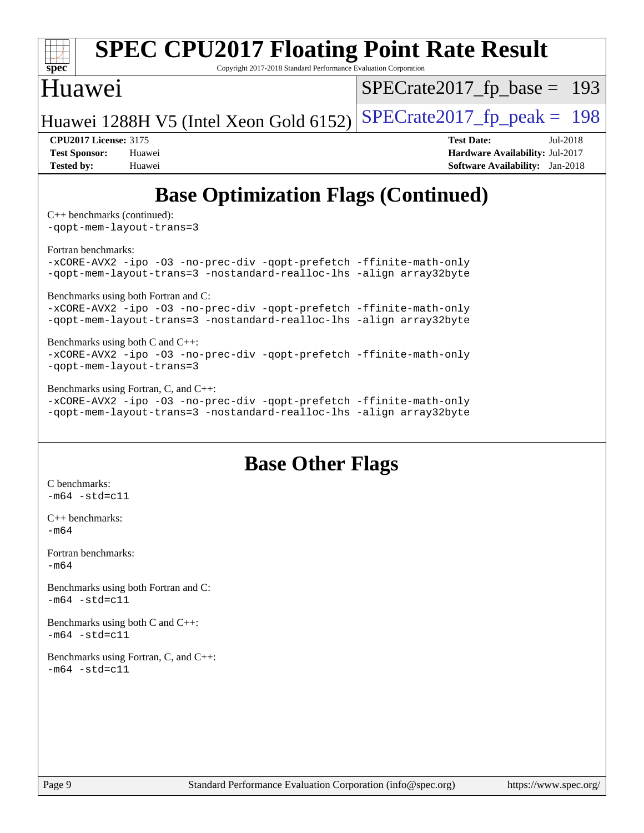

[-xCORE-AVX2](http://www.spec.org/cpu2017/results/res2018q3/cpu2017-20180705-07548.flags.html#user_CC_FCbase_f-xCORE-AVX2) [-ipo](http://www.spec.org/cpu2017/results/res2018q3/cpu2017-20180705-07548.flags.html#user_CC_FCbase_f-ipo) [-O3](http://www.spec.org/cpu2017/results/res2018q3/cpu2017-20180705-07548.flags.html#user_CC_FCbase_f-O3) [-no-prec-div](http://www.spec.org/cpu2017/results/res2018q3/cpu2017-20180705-07548.flags.html#user_CC_FCbase_f-no-prec-div) [-qopt-prefetch](http://www.spec.org/cpu2017/results/res2018q3/cpu2017-20180705-07548.flags.html#user_CC_FCbase_f-qopt-prefetch) [-ffinite-math-only](http://www.spec.org/cpu2017/results/res2018q3/cpu2017-20180705-07548.flags.html#user_CC_FCbase_f_finite_math_only_cb91587bd2077682c4b38af759c288ed7c732db004271a9512da14a4f8007909a5f1427ecbf1a0fb78ff2a814402c6114ac565ca162485bbcae155b5e4258871) [-qopt-mem-layout-trans=3](http://www.spec.org/cpu2017/results/res2018q3/cpu2017-20180705-07548.flags.html#user_CC_FCbase_f-qopt-mem-layout-trans_de80db37974c74b1f0e20d883f0b675c88c3b01e9d123adea9b28688d64333345fb62bc4a798493513fdb68f60282f9a726aa07f478b2f7113531aecce732043) [-nostandard-realloc-lhs](http://www.spec.org/cpu2017/results/res2018q3/cpu2017-20180705-07548.flags.html#user_CC_FCbase_f_2003_std_realloc_82b4557e90729c0f113870c07e44d33d6f5a304b4f63d4c15d2d0f1fab99f5daaed73bdb9275d9ae411527f28b936061aa8b9c8f2d63842963b95c9dd6426b8a) [-align array32byte](http://www.spec.org/cpu2017/results/res2018q3/cpu2017-20180705-07548.flags.html#user_CC_FCbase_align_array32byte_b982fe038af199962ba9a80c053b8342c548c85b40b8e86eb3cc33dee0d7986a4af373ac2d51c3f7cf710a18d62fdce2948f201cd044323541f22fc0fffc51b6)

#### [Benchmarks using both C and C++](http://www.spec.org/auto/cpu2017/Docs/result-fields.html#BenchmarksusingbothCandCXX): [-xCORE-AVX2](http://www.spec.org/cpu2017/results/res2018q3/cpu2017-20180705-07548.flags.html#user_CC_CXXbase_f-xCORE-AVX2) [-ipo](http://www.spec.org/cpu2017/results/res2018q3/cpu2017-20180705-07548.flags.html#user_CC_CXXbase_f-ipo) [-O3](http://www.spec.org/cpu2017/results/res2018q3/cpu2017-20180705-07548.flags.html#user_CC_CXXbase_f-O3) [-no-prec-div](http://www.spec.org/cpu2017/results/res2018q3/cpu2017-20180705-07548.flags.html#user_CC_CXXbase_f-no-prec-div) [-qopt-prefetch](http://www.spec.org/cpu2017/results/res2018q3/cpu2017-20180705-07548.flags.html#user_CC_CXXbase_f-qopt-prefetch) [-ffinite-math-only](http://www.spec.org/cpu2017/results/res2018q3/cpu2017-20180705-07548.flags.html#user_CC_CXXbase_f_finite_math_only_cb91587bd2077682c4b38af759c288ed7c732db004271a9512da14a4f8007909a5f1427ecbf1a0fb78ff2a814402c6114ac565ca162485bbcae155b5e4258871) [-qopt-mem-layout-trans=3](http://www.spec.org/cpu2017/results/res2018q3/cpu2017-20180705-07548.flags.html#user_CC_CXXbase_f-qopt-mem-layout-trans_de80db37974c74b1f0e20d883f0b675c88c3b01e9d123adea9b28688d64333345fb62bc4a798493513fdb68f60282f9a726aa07f478b2f7113531aecce732043)

[Benchmarks using Fortran, C, and C++:](http://www.spec.org/auto/cpu2017/Docs/result-fields.html#BenchmarksusingFortranCandCXX)

[-xCORE-AVX2](http://www.spec.org/cpu2017/results/res2018q3/cpu2017-20180705-07548.flags.html#user_CC_CXX_FCbase_f-xCORE-AVX2) [-ipo](http://www.spec.org/cpu2017/results/res2018q3/cpu2017-20180705-07548.flags.html#user_CC_CXX_FCbase_f-ipo) [-O3](http://www.spec.org/cpu2017/results/res2018q3/cpu2017-20180705-07548.flags.html#user_CC_CXX_FCbase_f-O3) [-no-prec-div](http://www.spec.org/cpu2017/results/res2018q3/cpu2017-20180705-07548.flags.html#user_CC_CXX_FCbase_f-no-prec-div) [-qopt-prefetch](http://www.spec.org/cpu2017/results/res2018q3/cpu2017-20180705-07548.flags.html#user_CC_CXX_FCbase_f-qopt-prefetch) [-ffinite-math-only](http://www.spec.org/cpu2017/results/res2018q3/cpu2017-20180705-07548.flags.html#user_CC_CXX_FCbase_f_finite_math_only_cb91587bd2077682c4b38af759c288ed7c732db004271a9512da14a4f8007909a5f1427ecbf1a0fb78ff2a814402c6114ac565ca162485bbcae155b5e4258871) [-qopt-mem-layout-trans=3](http://www.spec.org/cpu2017/results/res2018q3/cpu2017-20180705-07548.flags.html#user_CC_CXX_FCbase_f-qopt-mem-layout-trans_de80db37974c74b1f0e20d883f0b675c88c3b01e9d123adea9b28688d64333345fb62bc4a798493513fdb68f60282f9a726aa07f478b2f7113531aecce732043) [-nostandard-realloc-lhs](http://www.spec.org/cpu2017/results/res2018q3/cpu2017-20180705-07548.flags.html#user_CC_CXX_FCbase_f_2003_std_realloc_82b4557e90729c0f113870c07e44d33d6f5a304b4f63d4c15d2d0f1fab99f5daaed73bdb9275d9ae411527f28b936061aa8b9c8f2d63842963b95c9dd6426b8a) [-align array32byte](http://www.spec.org/cpu2017/results/res2018q3/cpu2017-20180705-07548.flags.html#user_CC_CXX_FCbase_align_array32byte_b982fe038af199962ba9a80c053b8342c548c85b40b8e86eb3cc33dee0d7986a4af373ac2d51c3f7cf710a18d62fdce2948f201cd044323541f22fc0fffc51b6)

# **[Base Other Flags](http://www.spec.org/auto/cpu2017/Docs/result-fields.html#BaseOtherFlags)**

[C benchmarks](http://www.spec.org/auto/cpu2017/Docs/result-fields.html#Cbenchmarks):  $-m64 - std= c11$  $-m64 - std= c11$ [C++ benchmarks:](http://www.spec.org/auto/cpu2017/Docs/result-fields.html#CXXbenchmarks) [-m64](http://www.spec.org/cpu2017/results/res2018q3/cpu2017-20180705-07548.flags.html#user_CXXbase_intel_intel64_18.0_af43caccfc8ded86e7699f2159af6efc7655f51387b94da716254467f3c01020a5059329e2569e4053f409e7c9202a7efc638f7a6d1ffb3f52dea4a3e31d82ab) [Fortran benchmarks](http://www.spec.org/auto/cpu2017/Docs/result-fields.html#Fortranbenchmarks):  $-m64$ [Benchmarks using both Fortran and C](http://www.spec.org/auto/cpu2017/Docs/result-fields.html#BenchmarksusingbothFortranandC):  $-m64 - std = c11$  $-m64 - std = c11$ [Benchmarks using both C and C++](http://www.spec.org/auto/cpu2017/Docs/result-fields.html#BenchmarksusingbothCandCXX):  $-m64 - std= c11$  $-m64 - std= c11$ [Benchmarks using Fortran, C, and C++:](http://www.spec.org/auto/cpu2017/Docs/result-fields.html#BenchmarksusingFortranCandCXX)  $-m64 - std= c11$  $-m64 - std= c11$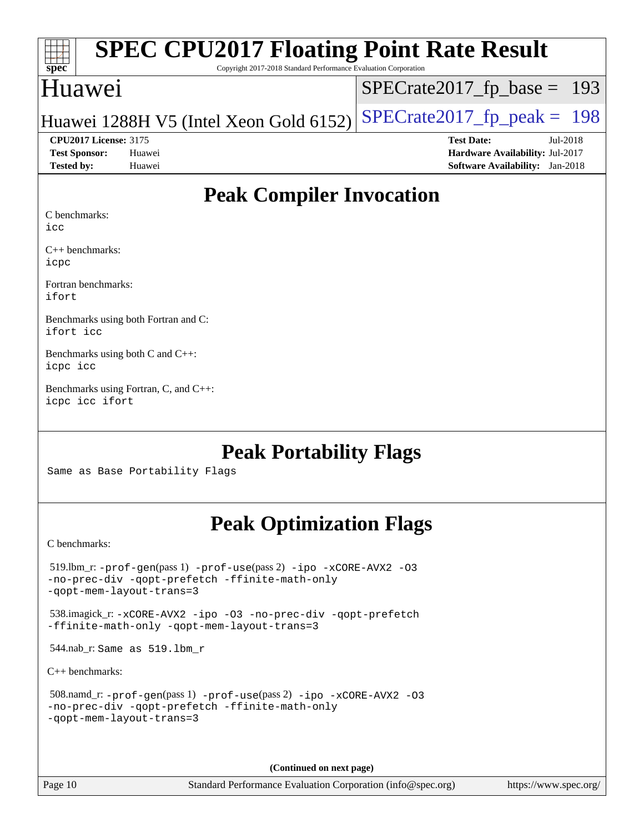| spec |  |  |
|------|--|--|
|------|--|--|

# **[SPEC CPU2017 Floating Point Rate Result](http://www.spec.org/auto/cpu2017/Docs/result-fields.html#SPECCPU2017FloatingPointRateResult)**

Copyright 2017-2018 Standard Performance Evaluation Corporation

## Huawei

[SPECrate2017\\_fp\\_base =](http://www.spec.org/auto/cpu2017/Docs/result-fields.html#SPECrate2017fpbase) 193

## Huawei 1288H V5 (Intel Xeon Gold 6152) SPECrate  $2017$  fp peak = 198

**[Tested by:](http://www.spec.org/auto/cpu2017/Docs/result-fields.html#Testedby)** Huawei **[Software Availability:](http://www.spec.org/auto/cpu2017/Docs/result-fields.html#SoftwareAvailability)** Jan-2018

**[CPU2017 License:](http://www.spec.org/auto/cpu2017/Docs/result-fields.html#CPU2017License)** 3175 **[Test Date:](http://www.spec.org/auto/cpu2017/Docs/result-fields.html#TestDate)** Jul-2018 **[Test Sponsor:](http://www.spec.org/auto/cpu2017/Docs/result-fields.html#TestSponsor)** Huawei **[Hardware Availability:](http://www.spec.org/auto/cpu2017/Docs/result-fields.html#HardwareAvailability)** Jul-2017

# **[Peak Compiler Invocation](http://www.spec.org/auto/cpu2017/Docs/result-fields.html#PeakCompilerInvocation)**

[C benchmarks:](http://www.spec.org/auto/cpu2017/Docs/result-fields.html#Cbenchmarks)

[icc](http://www.spec.org/cpu2017/results/res2018q3/cpu2017-20180705-07548.flags.html#user_CCpeak_intel_icc_18.0_66fc1ee009f7361af1fbd72ca7dcefbb700085f36577c54f309893dd4ec40d12360134090235512931783d35fd58c0460139e722d5067c5574d8eaf2b3e37e92)

[C++ benchmarks](http://www.spec.org/auto/cpu2017/Docs/result-fields.html#CXXbenchmarks): [icpc](http://www.spec.org/cpu2017/results/res2018q3/cpu2017-20180705-07548.flags.html#user_CXXpeak_intel_icpc_18.0_c510b6838c7f56d33e37e94d029a35b4a7bccf4766a728ee175e80a419847e808290a9b78be685c44ab727ea267ec2f070ec5dc83b407c0218cded6866a35d07)

[Fortran benchmarks:](http://www.spec.org/auto/cpu2017/Docs/result-fields.html#Fortranbenchmarks) [ifort](http://www.spec.org/cpu2017/results/res2018q3/cpu2017-20180705-07548.flags.html#user_FCpeak_intel_ifort_18.0_8111460550e3ca792625aed983ce982f94888b8b503583aa7ba2b8303487b4d8a21a13e7191a45c5fd58ff318f48f9492884d4413fa793fd88dd292cad7027ca)

[Benchmarks using both Fortran and C:](http://www.spec.org/auto/cpu2017/Docs/result-fields.html#BenchmarksusingbothFortranandC) [ifort](http://www.spec.org/cpu2017/results/res2018q3/cpu2017-20180705-07548.flags.html#user_CC_FCpeak_intel_ifort_18.0_8111460550e3ca792625aed983ce982f94888b8b503583aa7ba2b8303487b4d8a21a13e7191a45c5fd58ff318f48f9492884d4413fa793fd88dd292cad7027ca) [icc](http://www.spec.org/cpu2017/results/res2018q3/cpu2017-20180705-07548.flags.html#user_CC_FCpeak_intel_icc_18.0_66fc1ee009f7361af1fbd72ca7dcefbb700085f36577c54f309893dd4ec40d12360134090235512931783d35fd58c0460139e722d5067c5574d8eaf2b3e37e92)

[Benchmarks using both C and C++](http://www.spec.org/auto/cpu2017/Docs/result-fields.html#BenchmarksusingbothCandCXX): [icpc](http://www.spec.org/cpu2017/results/res2018q3/cpu2017-20180705-07548.flags.html#user_CC_CXXpeak_intel_icpc_18.0_c510b6838c7f56d33e37e94d029a35b4a7bccf4766a728ee175e80a419847e808290a9b78be685c44ab727ea267ec2f070ec5dc83b407c0218cded6866a35d07) [icc](http://www.spec.org/cpu2017/results/res2018q3/cpu2017-20180705-07548.flags.html#user_CC_CXXpeak_intel_icc_18.0_66fc1ee009f7361af1fbd72ca7dcefbb700085f36577c54f309893dd4ec40d12360134090235512931783d35fd58c0460139e722d5067c5574d8eaf2b3e37e92)

[Benchmarks using Fortran, C, and C++:](http://www.spec.org/auto/cpu2017/Docs/result-fields.html#BenchmarksusingFortranCandCXX) [icpc](http://www.spec.org/cpu2017/results/res2018q3/cpu2017-20180705-07548.flags.html#user_CC_CXX_FCpeak_intel_icpc_18.0_c510b6838c7f56d33e37e94d029a35b4a7bccf4766a728ee175e80a419847e808290a9b78be685c44ab727ea267ec2f070ec5dc83b407c0218cded6866a35d07) [icc](http://www.spec.org/cpu2017/results/res2018q3/cpu2017-20180705-07548.flags.html#user_CC_CXX_FCpeak_intel_icc_18.0_66fc1ee009f7361af1fbd72ca7dcefbb700085f36577c54f309893dd4ec40d12360134090235512931783d35fd58c0460139e722d5067c5574d8eaf2b3e37e92) [ifort](http://www.spec.org/cpu2017/results/res2018q3/cpu2017-20180705-07548.flags.html#user_CC_CXX_FCpeak_intel_ifort_18.0_8111460550e3ca792625aed983ce982f94888b8b503583aa7ba2b8303487b4d8a21a13e7191a45c5fd58ff318f48f9492884d4413fa793fd88dd292cad7027ca)

# **[Peak Portability Flags](http://www.spec.org/auto/cpu2017/Docs/result-fields.html#PeakPortabilityFlags)**

Same as Base Portability Flags

# **[Peak Optimization Flags](http://www.spec.org/auto/cpu2017/Docs/result-fields.html#PeakOptimizationFlags)**

[C benchmarks](http://www.spec.org/auto/cpu2017/Docs/result-fields.html#Cbenchmarks):

| $519.$ lbm_r: -prof-qen(pass 1) -prof-use(pass 2) -ipo -xCORE-AVX2 -03<br>-no-prec-div -qopt-prefetch -ffinite-math-only<br>-gopt-mem-layout-trans=3 |
|------------------------------------------------------------------------------------------------------------------------------------------------------|
| 538.imagick_r: -xCORE-AVX2 -ipo -03 -no-prec-div -qopt-prefetch<br>-ffinite-math-only -gopt-mem-layout-trans=3                                       |
| 544.nab_r: Same as $519.1$ bm r                                                                                                                      |
| $C_{++}$ benchmarks:                                                                                                                                 |
| 508.namd_r: -prof-gen(pass 1) -prof-use(pass 2) -ipo -xCORE-AVX2 -03<br>-no-prec-div -qopt-prefetch -ffinite-math-only<br>-gopt-mem-layout-trans=3   |

**(Continued on next page)**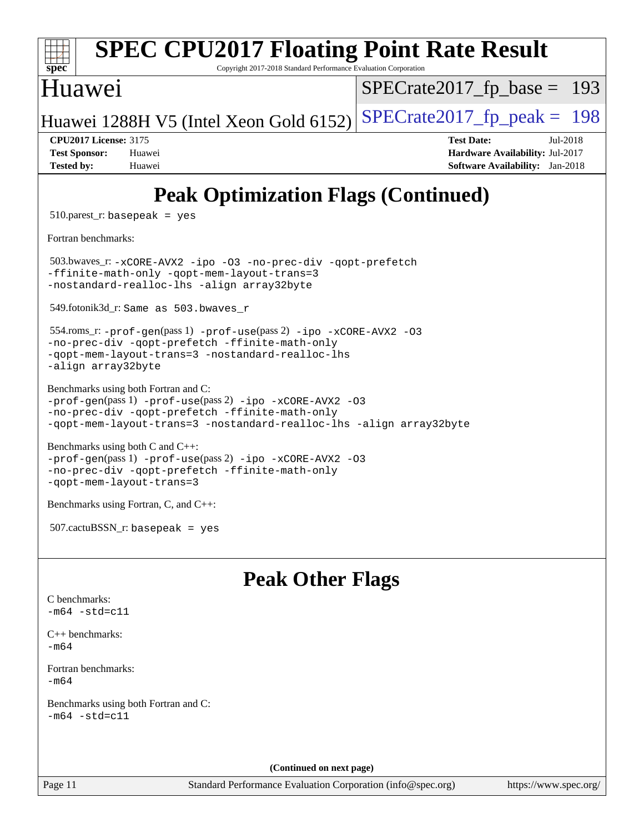| $spec^*$                                                                                                                                                                                                                  | Copyright 2017-2018 Standard Performance Evaluation Corporation | <b>SPEC CPU2017 Floating Point Rate Result</b>                                                             |
|---------------------------------------------------------------------------------------------------------------------------------------------------------------------------------------------------------------------------|-----------------------------------------------------------------|------------------------------------------------------------------------------------------------------------|
| Huawei                                                                                                                                                                                                                    |                                                                 | $SPECrate2017_fp\_base = 193$                                                                              |
| Huawei 1288H V5 (Intel Xeon Gold 6152)                                                                                                                                                                                    |                                                                 | $SPECTate2017$ _fp_peak = 198                                                                              |
| <b>CPU2017 License: 3175</b><br><b>Test Sponsor:</b><br>Huawei<br><b>Tested by:</b><br>Huawei                                                                                                                             |                                                                 | <b>Test Date:</b><br>Jul-2018<br>Hardware Availability: Jul-2017<br><b>Software Availability:</b> Jan-2018 |
|                                                                                                                                                                                                                           |                                                                 | <b>Peak Optimization Flags (Continued)</b>                                                                 |
| $510.parest_r: basepeak = yes$                                                                                                                                                                                            |                                                                 |                                                                                                            |
| Fortran benchmarks:                                                                                                                                                                                                       |                                                                 |                                                                                                            |
| 503.bwaves_r: -xCORE-AVX2 -ipo -03 -no-prec-div -qopt-prefetch<br>-ffinite-math-only -qopt-mem-layout-trans=3<br>-nostandard-realloc-lhs -align array32byte                                                               |                                                                 |                                                                                                            |
| 549.fotonik3d_r: Same as 503.bwaves r                                                                                                                                                                                     |                                                                 |                                                                                                            |
| 554.roms_r: -prof-gen(pass 1) -prof-use(pass 2) -ipo -xCORE-AVX2 -03<br>-no-prec-div -qopt-prefetch -ffinite-math-only<br>-qopt-mem-layout-trans=3 -nostandard-realloc-lhs<br>-align array32byte                          |                                                                 |                                                                                                            |
| Benchmarks using both Fortran and C:<br>-prof-gen(pass 1) -prof-use(pass 2) -ipo -xCORE-AVX2 -03<br>-no-prec-div -qopt-prefetch -ffinite-math-only<br>-qopt-mem-layout-trans=3 -nostandard-realloc-lhs -align array32byte |                                                                 |                                                                                                            |
| Benchmarks using both C and C++:<br>$-prof-gen(pass 1) -prof-use(pass 2) -ipo -xCORE-AVX2 -O3$<br>-no-prec-div -qopt-prefetch -ffinite-math-only<br>-qopt-mem-layout-trans=3                                              |                                                                 |                                                                                                            |
| Benchmarks using Fortran, C, and C++:                                                                                                                                                                                     |                                                                 |                                                                                                            |
| $507.cactuBSSN_r$ : basepeak = yes                                                                                                                                                                                        |                                                                 |                                                                                                            |
|                                                                                                                                                                                                                           | <b>Peak Other Flags</b>                                         |                                                                                                            |
| C benchmarks:<br>$-m64 - std= c11$                                                                                                                                                                                        |                                                                 |                                                                                                            |
| $C++$ benchmarks:<br>$-m64$                                                                                                                                                                                               |                                                                 |                                                                                                            |
| Fortran benchmarks:<br>$-m64$                                                                                                                                                                                             |                                                                 |                                                                                                            |
| Benchmarks using both Fortran and C:<br>$-m64 - std = c11$                                                                                                                                                                |                                                                 |                                                                                                            |
|                                                                                                                                                                                                                           | (Continued on next page)                                        |                                                                                                            |